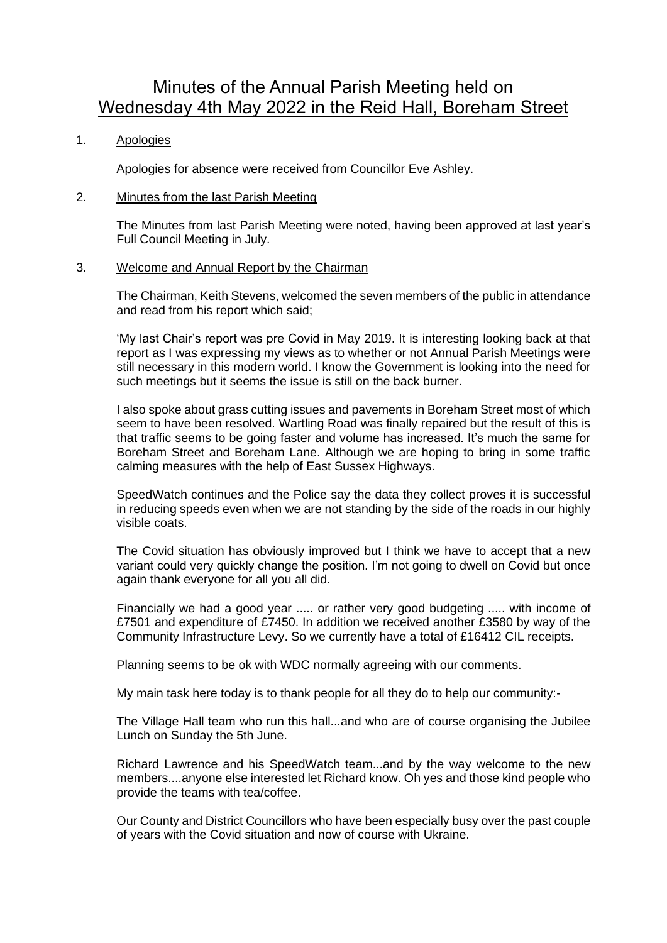# Minutes of the Annual Parish Meeting held on Wednesday 4th May 2022 in the Reid Hall, Boreham Street

## 1. Apologies

Apologies for absence were received from Councillor Eve Ashley.

#### 2. Minutes from the last Parish Meeting

The Minutes from last Parish Meeting were noted, having been approved at last year's Full Council Meeting in July.

## 3. Welcome and Annual Report by the Chairman

The Chairman, Keith Stevens, welcomed the seven members of the public in attendance and read from his report which said;

'My last Chair's report was pre Covid in May 2019. It is interesting looking back at that report as I was expressing my views as to whether or not Annual Parish Meetings were still necessary in this modern world. I know the Government is looking into the need for such meetings but it seems the issue is still on the back burner.

I also spoke about grass cutting issues and pavements in Boreham Street most of which seem to have been resolved. Wartling Road was finally repaired but the result of this is that traffic seems to be going faster and volume has increased. It's much the same for Boreham Street and Boreham Lane. Although we are hoping to bring in some traffic calming measures with the help of East Sussex Highways.

SpeedWatch continues and the Police say the data they collect proves it is successful in reducing speeds even when we are not standing by the side of the roads in our highly visible coats.

The Covid situation has obviously improved but I think we have to accept that a new variant could very quickly change the position. I'm not going to dwell on Covid but once again thank everyone for all you all did.

Financially we had a good year ..... or rather very good budgeting ..... with income of £7501 and expenditure of £7450. In addition we received another £3580 by way of the Community Infrastructure Levy. So we currently have a total of £16412 CIL receipts.

Planning seems to be ok with WDC normally agreeing with our comments.

My main task here today is to thank people for all they do to help our community:-

The Village Hall team who run this hall...and who are of course organising the Jubilee Lunch on Sunday the 5th June.

Richard Lawrence and his SpeedWatch team...and by the way welcome to the new members....anyone else interested let Richard know. Oh yes and those kind people who provide the teams with tea/coffee.

Our County and District Councillors who have been especially busy over the past couple of years with the Covid situation and now of course with Ukraine.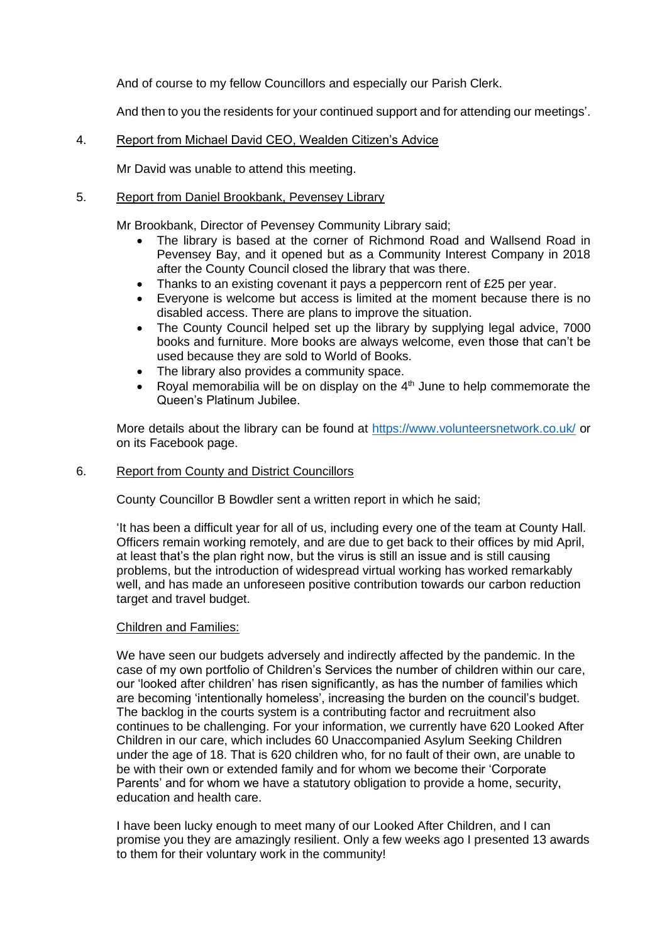And of course to my fellow Councillors and especially our Parish Clerk.

And then to you the residents for your continued support and for attending our meetings'.

## 4. Report from Michael David CEO, Wealden Citizen's Advice

Mr David was unable to attend this meeting.

# 5. Report from Daniel Brookbank, Pevensey Library

Mr Brookbank, Director of Pevensey Community Library said;

- The library is based at the corner of Richmond Road and Wallsend Road in Pevensey Bay, and it opened but as a Community Interest Company in 2018 after the County Council closed the library that was there.
- Thanks to an existing covenant it pays a peppercorn rent of £25 per year.
- Everyone is welcome but access is limited at the moment because there is no disabled access. There are plans to improve the situation.
- The County Council helped set up the library by supplying legal advice, 7000 books and furniture. More books are always welcome, even those that can't be used because they are sold to World of Books.
- The library also provides a community space.
- Royal memorabilia will be on display on the  $4<sup>th</sup>$  June to help commemorate the Queen's Platinum Jubilee.

More details about the library can be found at<https://www.volunteersnetwork.co.uk/> or on its Facebook page.

## 6. Report from County and District Councillors

County Councillor B Bowdler sent a written report in which he said;

'It has been a difficult year for all of us, including every one of the team at County Hall. Officers remain working remotely, and are due to get back to their offices by mid April, at least that's the plan right now, but the virus is still an issue and is still causing problems, but the introduction of widespread virtual working has worked remarkably well, and has made an unforeseen positive contribution towards our carbon reduction target and travel budget.

## Children and Families:

We have seen our budgets adversely and indirectly affected by the pandemic. In the case of my own portfolio of Children's Services the number of children within our care, our 'looked after children' has risen significantly, as has the number of families which are becoming 'intentionally homeless', increasing the burden on the council's budget. The backlog in the courts system is a contributing factor and recruitment also continues to be challenging. For your information, we currently have 620 Looked After Children in our care, which includes 60 Unaccompanied Asylum Seeking Children under the age of 18. That is 620 children who, for no fault of their own, are unable to be with their own or extended family and for whom we become their 'Corporate Parents' and for whom we have a statutory obligation to provide a home, security, education and health care.

I have been lucky enough to meet many of our Looked After Children, and I can promise you they are amazingly resilient. Only a few weeks ago I presented 13 awards to them for their voluntary work in the community!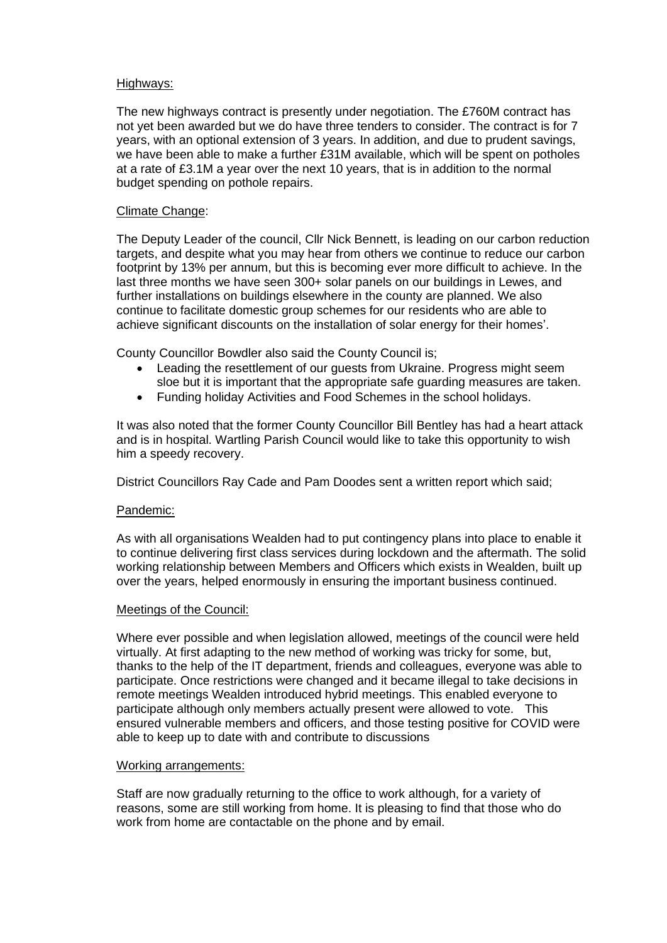## Highways:

The new highways contract is presently under negotiation. The £760M contract has not yet been awarded but we do have three tenders to consider. The contract is for 7 years, with an optional extension of 3 years. In addition, and due to prudent savings, we have been able to make a further £31M available, which will be spent on potholes at a rate of £3.1M a year over the next 10 years, that is in addition to the normal budget spending on pothole repairs.

## Climate Change:

The Deputy Leader of the council, Cllr Nick Bennett, is leading on our carbon reduction targets, and despite what you may hear from others we continue to reduce our carbon footprint by 13% per annum, but this is becoming ever more difficult to achieve. In the last three months we have seen 300+ solar panels on our buildings in Lewes, and further installations on buildings elsewhere in the county are planned. We also continue to facilitate domestic group schemes for our residents who are able to achieve significant discounts on the installation of solar energy for their homes'.

County Councillor Bowdler also said the County Council is;

- Leading the resettlement of our guests from Ukraine. Progress might seem sloe but it is important that the appropriate safe guarding measures are taken.
- Funding holiday Activities and Food Schemes in the school holidays.

It was also noted that the former County Councillor Bill Bentley has had a heart attack and is in hospital. Wartling Parish Council would like to take this opportunity to wish him a speedy recovery.

District Councillors Ray Cade and Pam Doodes sent a written report which said;

#### Pandemic:

As with all organisations Wealden had to put contingency plans into place to enable it to continue delivering first class services during lockdown and the aftermath. The solid working relationship between Members and Officers which exists in Wealden, built up over the years, helped enormously in ensuring the important business continued.

#### Meetings of the Council:

Where ever possible and when legislation allowed, meetings of the council were held virtually. At first adapting to the new method of working was tricky for some, but, thanks to the help of the IT department, friends and colleagues, everyone was able to participate. Once restrictions were changed and it became illegal to take decisions in remote meetings Wealden introduced hybrid meetings. This enabled everyone to participate although only members actually present were allowed to vote. This ensured vulnerable members and officers, and those testing positive for COVID were able to keep up to date with and contribute to discussions

#### Working arrangements:

Staff are now gradually returning to the office to work although, for a variety of reasons, some are still working from home. It is pleasing to find that those who do work from home are contactable on the phone and by email.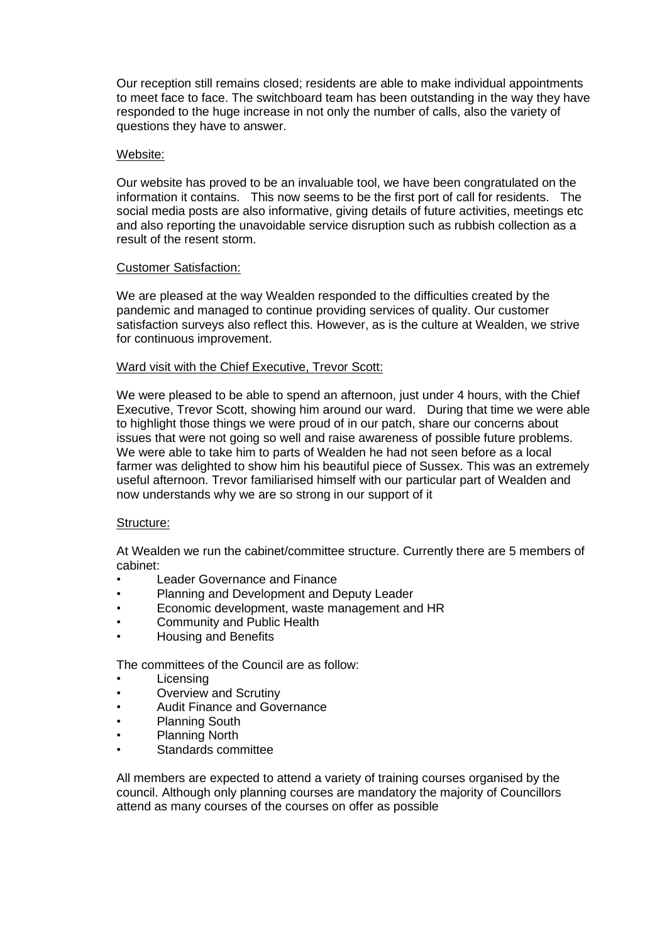Our reception still remains closed; residents are able to make individual appointments to meet face to face. The switchboard team has been outstanding in the way they have responded to the huge increase in not only the number of calls, also the variety of questions they have to answer.

## Website:

Our website has proved to be an invaluable tool, we have been congratulated on the information it contains. This now seems to be the first port of call for residents. The social media posts are also informative, giving details of future activities, meetings etc and also reporting the unavoidable service disruption such as rubbish collection as a result of the resent storm.

#### Customer Satisfaction:

We are pleased at the way Wealden responded to the difficulties created by the pandemic and managed to continue providing services of quality. Our customer satisfaction surveys also reflect this. However, as is the culture at Wealden, we strive for continuous improvement.

## Ward visit with the Chief Executive, Trevor Scott:

We were pleased to be able to spend an afternoon, just under 4 hours, with the Chief Executive, Trevor Scott, showing him around our ward. During that time we were able to highlight those things we were proud of in our patch, share our concerns about issues that were not going so well and raise awareness of possible future problems. We were able to take him to parts of Wealden he had not seen before as a local farmer was delighted to show him his beautiful piece of Sussex. This was an extremely useful afternoon. Trevor familiarised himself with our particular part of Wealden and now understands why we are so strong in our support of it

#### Structure:

At Wealden we run the cabinet/committee structure. Currently there are 5 members of cabinet:

- Leader Governance and Finance
- Planning and Development and Deputy Leader
- Economic development, waste management and HR
- Community and Public Health
- Housing and Benefits

The committees of the Council are as follow:

- **Licensing**
- Overview and Scrutiny
- Audit Finance and Governance
- Planning South
- Planning North
- Standards committee

All members are expected to attend a variety of training courses organised by the council. Although only planning courses are mandatory the majority of Councillors attend as many courses of the courses on offer as possible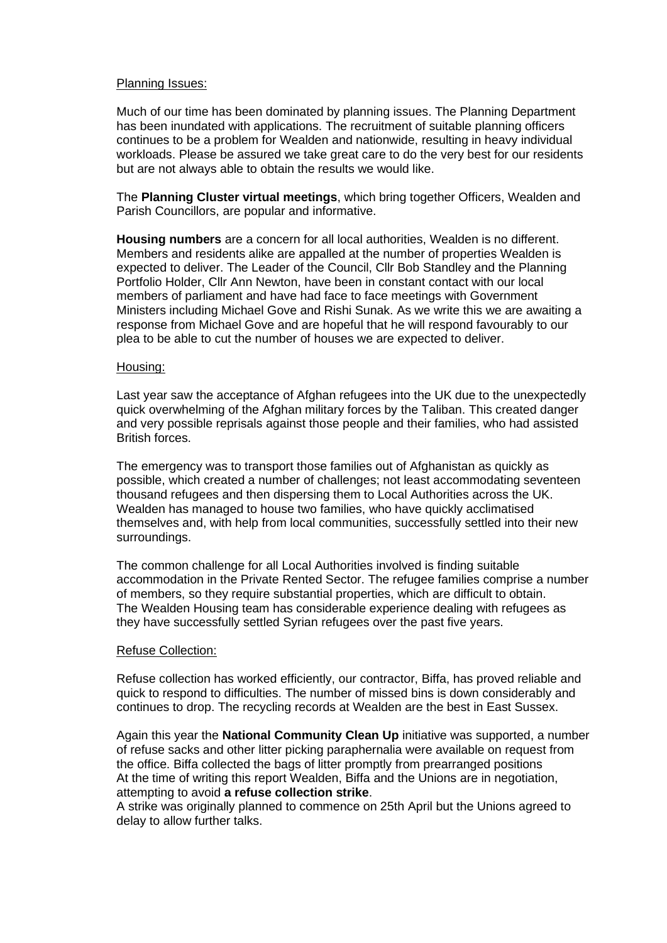#### Planning Issues:

Much of our time has been dominated by planning issues. The Planning Department has been inundated with applications. The recruitment of suitable planning officers continues to be a problem for Wealden and nationwide, resulting in heavy individual workloads. Please be assured we take great care to do the very best for our residents but are not always able to obtain the results we would like.

The **Planning Cluster virtual meetings**, which bring together Officers, Wealden and Parish Councillors, are popular and informative.

**Housing numbers** are a concern for all local authorities, Wealden is no different. Members and residents alike are appalled at the number of properties Wealden is expected to deliver. The Leader of the Council, Cllr Bob Standley and the Planning Portfolio Holder, Cllr Ann Newton, have been in constant contact with our local members of parliament and have had face to face meetings with Government Ministers including Michael Gove and Rishi Sunak. As we write this we are awaiting a response from Michael Gove and are hopeful that he will respond favourably to our plea to be able to cut the number of houses we are expected to deliver.

#### Housing:

Last year saw the acceptance of Afghan refugees into the UK due to the unexpectedly quick overwhelming of the Afghan military forces by the Taliban. This created danger and very possible reprisals against those people and their families, who had assisted British forces.

The emergency was to transport those families out of Afghanistan as quickly as possible, which created a number of challenges; not least accommodating seventeen thousand refugees and then dispersing them to Local Authorities across the UK. Wealden has managed to house two families, who have quickly acclimatised themselves and, with help from local communities, successfully settled into their new surroundings.

The common challenge for all Local Authorities involved is finding suitable accommodation in the Private Rented Sector. The refugee families comprise a number of members, so they require substantial properties, which are difficult to obtain. The Wealden Housing team has considerable experience dealing with refugees as they have successfully settled Syrian refugees over the past five years.

#### Refuse Collection:

Refuse collection has worked efficiently, our contractor, Biffa, has proved reliable and quick to respond to difficulties. The number of missed bins is down considerably and continues to drop. The recycling records at Wealden are the best in East Sussex.

Again this year the **National Community Clean Up** initiative was supported, a number of refuse sacks and other litter picking paraphernalia were available on request from the office. Biffa collected the bags of litter promptly from prearranged positions At the time of writing this report Wealden, Biffa and the Unions are in negotiation, attempting to avoid **a refuse collection strike**.

A strike was originally planned to commence on 25th April but the Unions agreed to delay to allow further talks.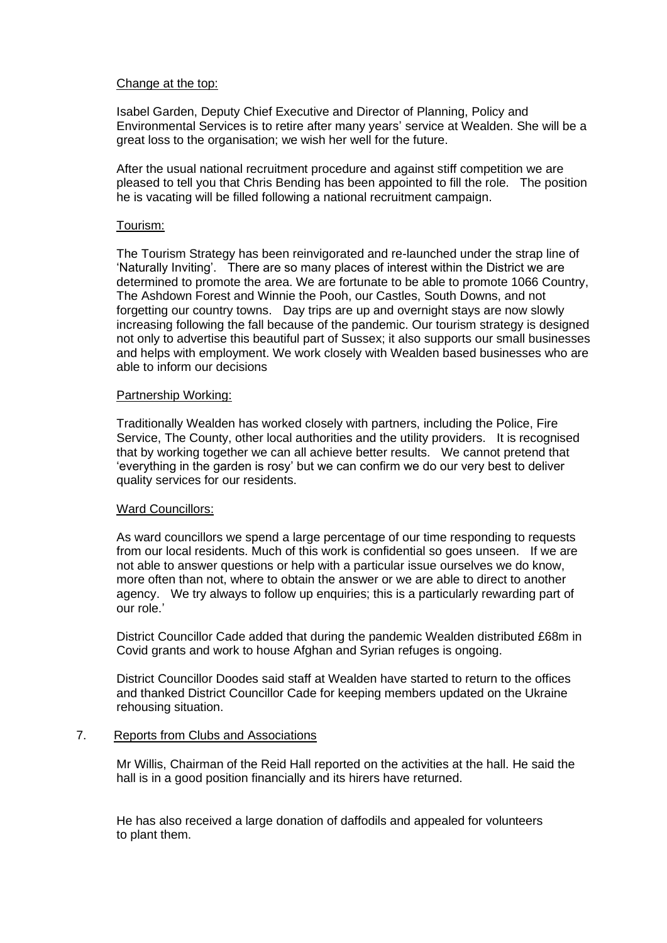## Change at the top:

Isabel Garden, Deputy Chief Executive and Director of Planning, Policy and Environmental Services is to retire after many years' service at Wealden. She will be a great loss to the organisation; we wish her well for the future.

After the usual national recruitment procedure and against stiff competition we are pleased to tell you that Chris Bending has been appointed to fill the role. The position he is vacating will be filled following a national recruitment campaign.

## Tourism:

The Tourism Strategy has been reinvigorated and re-launched under the strap line of 'Naturally Inviting'. There are so many places of interest within the District we are determined to promote the area. We are fortunate to be able to promote 1066 Country, The Ashdown Forest and Winnie the Pooh, our Castles, South Downs, and not forgetting our country towns. Day trips are up and overnight stays are now slowly increasing following the fall because of the pandemic. Our tourism strategy is designed not only to advertise this beautiful part of Sussex; it also supports our small businesses and helps with employment. We work closely with Wealden based businesses who are able to inform our decisions

#### Partnership Working:

Traditionally Wealden has worked closely with partners, including the Police, Fire Service, The County, other local authorities and the utility providers. It is recognised that by working together we can all achieve better results. We cannot pretend that 'everything in the garden is rosy' but we can confirm we do our very best to deliver quality services for our residents.

## Ward Councillors:

As ward councillors we spend a large percentage of our time responding to requests from our local residents. Much of this work is confidential so goes unseen. If we are not able to answer questions or help with a particular issue ourselves we do know, more often than not, where to obtain the answer or we are able to direct to another agency. We try always to follow up enquiries; this is a particularly rewarding part of our role.'

District Councillor Cade added that during the pandemic Wealden distributed £68m in Covid grants and work to house Afghan and Syrian refuges is ongoing.

District Councillor Doodes said staff at Wealden have started to return to the offices and thanked District Councillor Cade for keeping members updated on the Ukraine rehousing situation.

# 7. Reports from Clubs and Associations

Mr Willis, Chairman of the Reid Hall reported on the activities at the hall. He said the hall is in a good position financially and its hirers have returned.

He has also received a large donation of daffodils and appealed for volunteers to plant them.